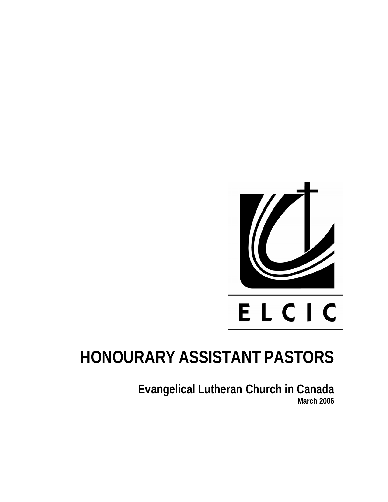

## **HONOURARY ASSISTANT PASTORS**

**Evangelical Lutheran Church in Canada March 2006**